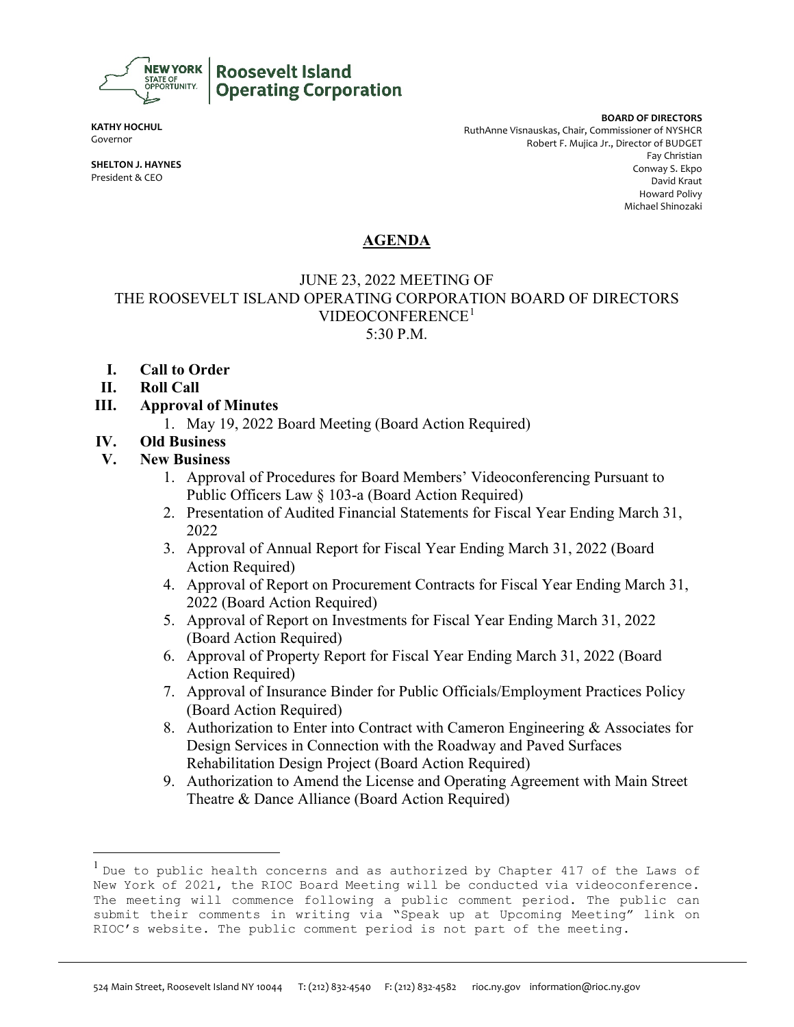

**KATHY HOCHUL** Governor

**SHELTON J. HAYNES** President & CEO

**BOARD OF DIRECTORS** RuthAnne Visnauskas, Chair, Commissioner of NYSHCR Robert F. Mujica Jr., Director of BUDGET Fay Christian Conway S. Ekpo David Kraut Howard Polivy Michael Shinozaki

# **AGENDA**

## JUNE 23, 2022 MEETING OF THE ROOSEVELT ISLAND OPERATING CORPORATION BOARD OF DIRECTORS VIDEOCONFERENCE[1](#page-0-0) 5:30 P.M.

- **I. Call to Order**
- **II. Roll Call**
- **III. Approval of Minutes**
	- 1. May 19, 2022 Board Meeting (Board Action Required)

## **IV. Old Business**

#### **V. New Business**

- 1. Approval of Procedures for Board Members' Videoconferencing Pursuant to Public Officers Law § 103-a (Board Action Required)
- 2. Presentation of Audited Financial Statements for Fiscal Year Ending March 31, 2022
- 3. Approval of Annual Report for Fiscal Year Ending March 31, 2022 (Board Action Required)
- 4. Approval of Report on Procurement Contracts for Fiscal Year Ending March 31, 2022 (Board Action Required)
- 5. Approval of Report on Investments for Fiscal Year Ending March 31, 2022 (Board Action Required)
- 6. Approval of Property Report for Fiscal Year Ending March 31, 2022 (Board Action Required)
- 7. Approval of Insurance Binder for Public Officials/Employment Practices Policy (Board Action Required)
- 8. Authorization to Enter into Contract with Cameron Engineering & Associates for Design Services in Connection with the Roadway and Paved Surfaces Rehabilitation Design Project (Board Action Required)
- 9. Authorization to Amend the License and Operating Agreement with Main Street Theatre & Dance Alliance (Board Action Required)

<span id="page-0-0"></span><sup>&</sup>lt;sup>1</sup> Due to public health concerns and as authorized by Chapter 417 of the Laws of New York of 2021, the RIOC Board Meeting will be conducted via videoconference. The meeting will commence following a public comment period. The public can submit their comments in writing via "Speak up at Upcoming Meeting" link on RIOC's website. The public comment period is not part of the meeting.